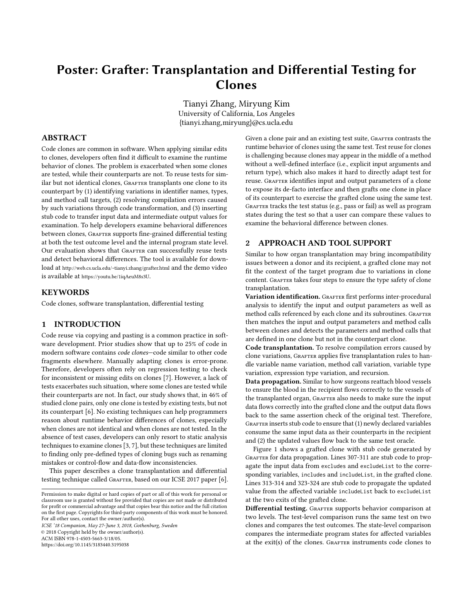# Poster: Grafter: Transplantation and Differential Testing for Clones

Tianyi Zhang, Miryung Kim University of California, Los Angeles {tianyi.zhang,miryung}@cs.ucla.edu

# ABSTRACT

Code clones are common in software. When applying similar edits to clones, developers often find it difficult to examine the runtime behavior of clones. The problem is exacerbated when some clones are tested, while their counterparts are not. To reuse tests for similar but not identical clones, GRAFTER transplants one clone to its counterpart by (1) identifying variations in identifier names, types, and method call targets, (2) resolving compilation errors caused by such variations through code transformation, and (3) inserting stub code to transfer input data and intermediate output values for examination. To help developers examine behavioral differences between clones, GRAFTER supports fine-grained differential testing at both the test outcome level and the internal program state level. Our evaluation shows that GRAFTER can successfully reuse tests and detect behavioral differences. The tool is available for download at [http://web.cs.ucla.edu/~tianyi.zhang/grafter.html]( http://web.cs.ucla.edu/~tianyi.zhang/grafter.html) and the demo video is available at <https://youtu.be/1iqAeuM8s3U>.

## **KEYWORDS**

Code clones, software transplantation, differential testing

# 1 INTRODUCTION

Code reuse via copying and pasting is a common practice in software development. Prior studies show that up to 25% of code in modern software contains code clones—code similar to other code fragments elsewhere. Manually adapting clones is error-prone. Therefore, developers often rely on regression testing to check for inconsistent or missing edits on clones [\[7\]](#page-1-0). However, a lack of tests exacerbates such situation, where some clones are tested while their counterparts are not. In fact, our study shows that, in 46% of studied clone pairs, only one clone is tested by existing tests, but not its counterpart [\[6\]](#page-1-1). No existing techniques can help programmers reason about runtime behavior differences of clones, especially when clones are not identical and when clones are not tested. In the absence of test cases, developers can only resort to static analysis techniques to examine clones [\[3,](#page-1-2) [7\]](#page-1-0), but these techniques are limited to finding only pre-defined types of cloning bugs such as renaming mistakes or control-flow and data-flow inconsistencies.

This paper describes a clone transplantation and differential testing technique called GRAFTER, based on our ICSE 2017 paper [\[6\]](#page-1-1).

ICSE '18 Companion, May 27-June 3, 2018, Gothenburg, Sweden

© 2018 Copyright held by the owner/author(s).

ACM ISBN 978-1-4503-5663-3/18/05.

<https://doi.org/10.1145/3183440.3195038>

Given a clone pair and an existing test suite, GRAFTER contrasts the runtime behavior of clones using the same test. Test reuse for clones is challenging because clones may appear in the middle of a method without a well-defined interface (i.e., explicit input arguments and return type), which also makes it hard to directly adapt test for reuse. GRAFTER identifies input and output parameters of a clone to expose its de-facto interface and then grafts one clone in place of its counterpart to exercise the grafted clone using the same test. GRAFTER tracks the test status (e.g., pass or fail) as well as program states during the test so that a user can compare these values to examine the behavioral difference between clones.

# 2 APPROACH AND TOOL SUPPORT

Similar to how organ transplantation may bring incompatibility issues between a donor and its recipient, a grafted clone may not fit the context of the target program due to variations in clone content. GRAFTER takes four steps to ensure the type safety of clone transplantation.

Variation identification. GRAFTER first performs inter-procedural analysis to identify the input and output parameters as well as method calls referenced by each clone and its subroutines. GRAFTER then matches the input and output parameters and method calls between clones and detects the parameters and method calls that are defined in one clone but not in the counterpart clone.

Code transplantation. To resolve compilation errors caused by clone variations, GRAFTER applies five transplantation rules to handle variable name variation, method call variation, variable type variation, expression type variation, and recursion.

Data propagation. Similar to how surgeons reattach blood vessels to ensure the blood in the recipient flows correctly to the vessels of the transplanted organ, GRAFTER also needs to make sure the input data flows correctly into the grafted clone and the output data flows back to the same assertion check of the original test. Therefore, GRAFTER inserts stub code to ensure that (1) newly declared variables consume the same input data as their counterparts in the recipient and (2) the updated values flow back to the same test oracle.

Figure [1](#page-1-3) shows a grafted clone with stub code generated by GRAFTER for data propagation. Lines 307-311 are stub code to propagate the input data from excludes and excludeList to the corresponding variables, includes and includeList, in the grafted clone. Lines 313-314 and 323-324 are stub code to propagate the updated value from the affected variable includeList back to excludeList at the two exits of the grafted clone.

Differential testing. GRAFTER supports behavior comparison at two levels. The test-level comparison runs the same test on two clones and compares the test outcomes. The state-level comparison compares the intermediate program states for affected variables at the exit(s) of the clones. GRAFTER instruments code clones to

Permission to make digital or hard copies of part or all of this work for personal or classroom use is granted without fee provided that copies are not made or distributed for profit or commercial advantage and that copies bear this notice and the full citation on the first page. Copyrights for third-party components of this work must be honored. For all other uses, contact the owner/author(s).